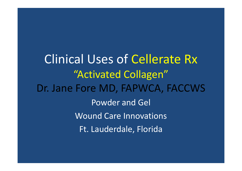Clinical Uses of Cellerate Rx"Activated Collagen"Dr. Jane Fore MD, FAPWCA, FACCWSPowder and GelWound Care InnovationsFt. Lauderdale, Florida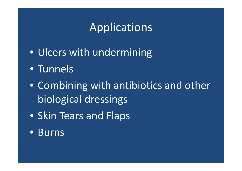# Applications

- Ulcers with undermining
- Tunnels
- Combining with antibiotics and other biological dressings
- Skin Tears and Flaps
- Burns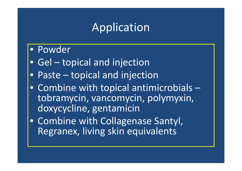# Application

### • Powder

- Gel topical and injection
- Paste topical and injection $\bullet$
- Combine with topical antimicrobials – tobramycin, vancomycin, polymyxin, doxycycline, gentamicin
- Combine with Collagenase Santyl, Regranex, living skin equivalents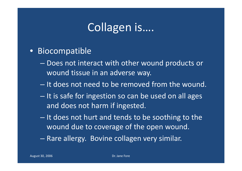# Collagen is….

#### • Biocompatible

- – Does not interact with other wound products or wound tissue in an adverse way.
- – $-$  It does not need to be removed from the wound.
- 
- It is safe for ingestion so can be used on all ages<br>and does not harm if ingested.<br>- It does not hurt and tends to be soothing to the<br>wound due to coverage of the open wound.<br>- Rare allergy. Bovine collagen very similar.
-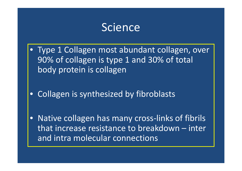### Science

- $\bullet$  Type 1 Collagen most abundant collagen, over 90% of collagen is type 1 and 30% of total body protein is collagen
- Collagen is synthesized by fibroblasts
- $\bullet$  Native collagen has many cross-links of fibrils that increase resistance to breakdown – inter and intra molecular connections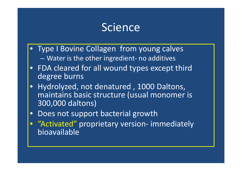### Science

- $\bullet$ Type I Bovine Collagen from young calves Water is the other ingredient- no additives
- FDA cleared for all wound types except third degree burns
- $\bullet$  Hydrolyzed, not denatured , 1000 Daltons, maintains basic structure (usual monomer is 300,000 daltons)
- •Does not support bacterial growth
- **•** "Activated" proprietary version- immediately  $\bullet$ bioavailable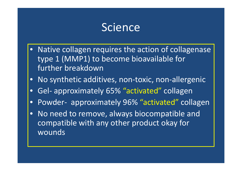## Science

- Native collagen requires the action of collagenasetype 1 (MMP1) to become bioavailable for further breakdown
- No synthetic additives, non-toxic, non-allergenic
- $\bullet$ Gel- approximately 65% "activated" collagen
- $\bullet$ Powder- approximately 96% "activated" collagen
- • No need to remove, always biocompatible and compatible with any other product okay for wounds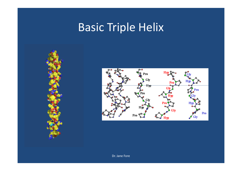# Basic Triple Helix





Dr. Jane Fore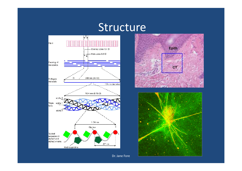#### Structure







Dr. Jane Fore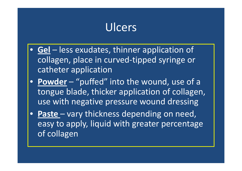# Ulcers

- **Gel** less exudates, thinner application of collagen, place in curved-tipped syringe or catheter application
- **Powder** "puffed" into the wound, use of a tongue blade, thicker application of collagen, use with negative pressure wound dressing
- **Paste**  vary thickness depending on need, easy to apply, liquid with greater percentage of collagen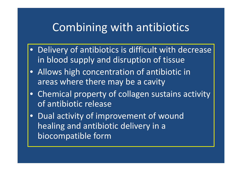## Combining with antibiotics

- Delivery of antibiotics is difficult with decrease in blood supply and disruption of tissue
- Allows high concentration of antibiotic in areas where there may be a cavity
- Chemical property of collagen sustains activity of antibiotic release
- Dual activity of improvement of wound healing and antibiotic delivery in a biocompatible form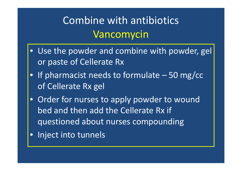# Combine with antibioticsVancomycin

- Use the powder and combine with powder, gel or paste of Cellerate Rx
- If pharmacist needs to formulate 50 mg/cc of Cellerate Rx gel
- Order for nurses to apply powder to wound bed and then add the Cellerate Rx if questioned about nurses compounding
- Inject into tunnels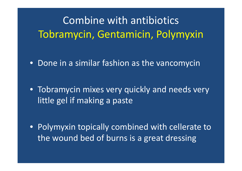# Combine with antibioticsTobramycin, Gentamicin, Polymyxin

- Done in a similar fashion as the vancomycin
- Tobramycin mixes very quickly and needs very little gel if making a paste

• Polymyxin topically combined with cellerate to the wound bed of burns is a great dressing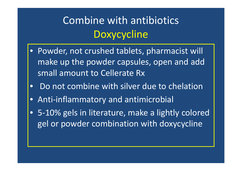# Combine with antibioticsDoxycycline

- Powder, not crushed tablets, pharmacist will make up the powder capsules, open and add small amount to Cellerate Rx
- $\bullet$ Do not combine with silver due to chelation
- Anti-inflammatory and antimicrobial
- 5-10% gels in literature, make a lightly colored gel or powder combination with doxycycline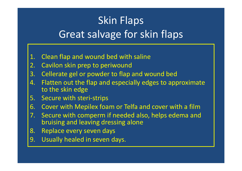# Skin FlapsGreat salvage for skin flaps

- 1. Clean flap and wound bed with saline<br>2. Cavilon skin prep to periwound
- Cavilon skin prep to periwound
- 3. Cellerate gel or powder to flap and wound bed
- Flatten out the flap and especially edges to approximate 4.to the skin edge
- 5. Secure with steri-strips
- 6. Cover with Mepilex foam or Telfa and cover with a film<br>6. Secure with comperm if needed also, helps edema and
- 7. Secure with comperm if needed also, helps edema and bruising and leaving dressing alone
- 8. Replace every seven days
- 9. Usually healed in seven days.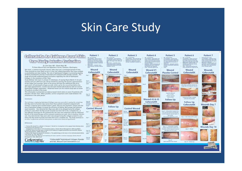### Skin Care Study

#### **Gallarata Bx An Evidence Based Skin Tear Study: Interim Evaluation**

#### Dr. Jane Fore, MD - Cherie Rash, RN Tri-State Wound Care and Hyperbaric Center, Clarkston, Washington

Skin tears, a common traumatic wound, often heal over a prolonged period of time. These wounds are most likely to occur in the frail, elderly population that have multiple co-morbidities and slow healing. The role of Hydrolyzed Collagen in promoting healing of these troublesome wounds is evaluated and compared with placebo controls. This study will provide evidenced based conclusions regarding the role of Hydrolyzed Collagen in the resolution of Skin Tears.

Study Method: Skin tears in at least 15 individuals, of varying Payne-Martin (1-3) scale severity and up to 48 hours old, will be treated by cleaning the wound, approximation of skin edges and coverage. Some of the group will have the additional step of an application of bydrolyzed collagen powder and/or gel to the wound bed before the skin edge approximation. Control wounds were treated identically but did not receive Hydrolyzed Collagen application. Presented herein are the interim study data on seven

(7) patients enrolled in this study. This information is presented as evidence based interim data on seven (7) patients with fourteen (14) skin tears. When possible, control comparisons were made between the treatments in the same person.

#### Conclusion

The technique employing Hydrolyzed Collagen was very successful in saving the remaining skin flap seven to fourteen days sooner than those patients completed compared with controls. A majority were resolved within a week, with just one treatment. Closure with the use of hydrolyzed collagen increased the efficiency of healing. Both groups had relatively rapid resolution. Very distorted skin flaps were able to be salvaged using the collagen product in cases where the flap would normally have been felt to be a complete loss. A very effective technique for the treatment for skin tears and comparison with the additional benefit of the tested therapy will be reviewed analyzing cost, pain, time to healing, infection rate. Very distorted skin flaps were able to be salvaged using the collagen product in cases where the flap would normally have been felt to be a complete loss. The study continues in an effort to generate sufficient data points to determine statistical significance

#### References

1. Thomas DR, Goode PS, La Master K, Tennyson T, Parnell LK, A comparison of an opaque foam dressing versus a transparent film dressing in the<br>management of skin tears in institutionalized subjects. Ostomy Wound Management 1999 Aug;45(8):6.

2. Ratliff CR, Fletcher KR, Skin tears: a review of the evidence to support prevention and treatment, Ostomy Wound Management, 200007 53(3):32-34.

3. Malone ML, Rozario N, Gavinski M, Goodwin J, The epidemiology of skin tears in the institutionalized elderly, 3. Importance materials of the Marinan increases the procession of the State Case of the Individual Districts of the Indian State of the Indian State of the Indian State of the Indian State of the Indian State of the India



Closed \*CellerateRx® Hydrolyzed Collagen Powder and Gel, Wound Care Innovations LLC.

**Patient 1 Patient 2** Age – 86 YO female<br>Co-morbidities – chronic attial fi-<br>Co-morbidities – chronic attial fi-<br>brillation, unsteady gait, venous<br>hypertension and ucreation on leg, CHF, arthritis<br>and impaired mobility so ambulates Age – 73 YO male<br>Co-morbidities – atrial fibrillation<br>Op cournadin, bonatic circhoris for with a cane<br>Medications - coumadin, furosamide, diltiazem, sertraline, hydre



Day 1

Day 9

Day 13

Closed

Day 20

but nicely

healed

Day 1

Day 1

Day:

 $1.5 \times 1.0$ 

pocket

Day 1

oper

Day 24

 $1.6 \times 0.7$ 

















Day<br>15

 $\begin{array}{c}\nDay \\
22\n\end{array}$ 

Day

 $\overline{25}$ 

 $\blacksquare$ 





Day  $1.0 \times 1.$ 

m op

partial

flap lo

Day 14

 $m$  op

Day 21

Closed

 $0.5 \times 0.5$ 





Patient 3

Wound

**CellerateRX** 

Day 7 - 0.15 x 02 cm open



proids with

**Patient 4** 

Age – 78 YO female<br>Co-morbidities – polymyalgia rheu-<br>matica, chronic significant eczema,

matica, chronic significant eczema,<br>rapidly progressive polyneuropathy<br>and foot drop, referred for leg ulce<br>3 mont-healing,<br>molitations, chronic corticostanists with

kenalog injections every 1-3 months, 60

ng, telmisartan, hctz, gabapentin<br>Other – Generally appears frail

Medications - chronic cortio

Day of

Injury

Day

Day

Day 23







**Superior Wound** 

 $35x10cm$ 

Inferior wound

 $3.0 \times 2.0$  cm

**Follow Up** 

**Patient 5** 

 $\begin{array}{c} \text{Co-morbidities - nursing home,} \\ \text{poor functional status, depression} \\ \text{refractory classification difficulties} \\ \text{tus, mild/moderate demandia, re-} \\ \text{current UTI} \end{array}$ 

seroquel, multivitamin, hydrocodo

Wound

Age - 88 YO female

Medications - dor

ne/apap<br>Other -





Day 25 Both wounds now closed

#### **Patient 7** Patient 93 years of age<br>
To-motibidities - Congostive heart<br>
Co-motibidities - Congostive heart<br>
failure, mild dementia, Type 2 DM,<br>
insulin requiring, CAD post bypass<br>
Medications - duragesic path, Jan-<br>
tus insulin, aten Age – 75 YO male<br>Co-morbidities – obesity, venous hy-<br>Co-morbidities – obesity, venous hy-<br>pertension and chronic edema BLE,<br>diabetic polyneuropachty, stage 3 CKD<br>Medications – aspirin, insulin, furosamide, spironolactone, simvas-<br>tatin, vitamin D, etc Other – hydrocolloid dressing extra<br>sticky and pulled off a large skin fla zocor zarozolyn playix

Patient 6

Wound

**CellerateRX** 

Skin flap is inferior wound, and

Cellerate RX powder

**Follow Up** 

**CellerateRX** 

79

Day 5 - Closed

Day 13 - Follow up

**Wounds CellerateRX** 



Pulled back flan to apply

**Wounds Day 7** 





 $-1015100$ **Wounds Day 14** 



 $\text{Center}$  $E$   $E$   $\overline{E}$   $\overline{E}$   $\overline{E}$   $\overline{E}$   $\overline{E}$   $\overline{E}$   $\overline{E}$   $\overline{E}$   $\overline{E}$   $\overline{E}$   $\overline{E}$   $\overline{E}$   $\overline{E}$   $\overline{E}$   $\overline{E}$   $\overline{E}$   $\overline{E}$   $\overline{E}$   $\overline{E}$   $\overline{E}$   $\overline{E}$   $\overline{E}$   $\overline{E}$   $\overline{E$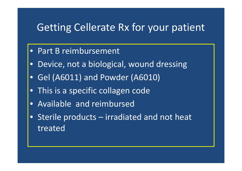#### Getting Cellerate Rx for your patient

- Part B reimbursement
- $\bullet$ Device, not a biological, wound dressing
- Gel (A6011) and Powder (A6010)
- This is a specific collagen code
- Available and reimbursed
- Sterile products irradiated and not heat treated